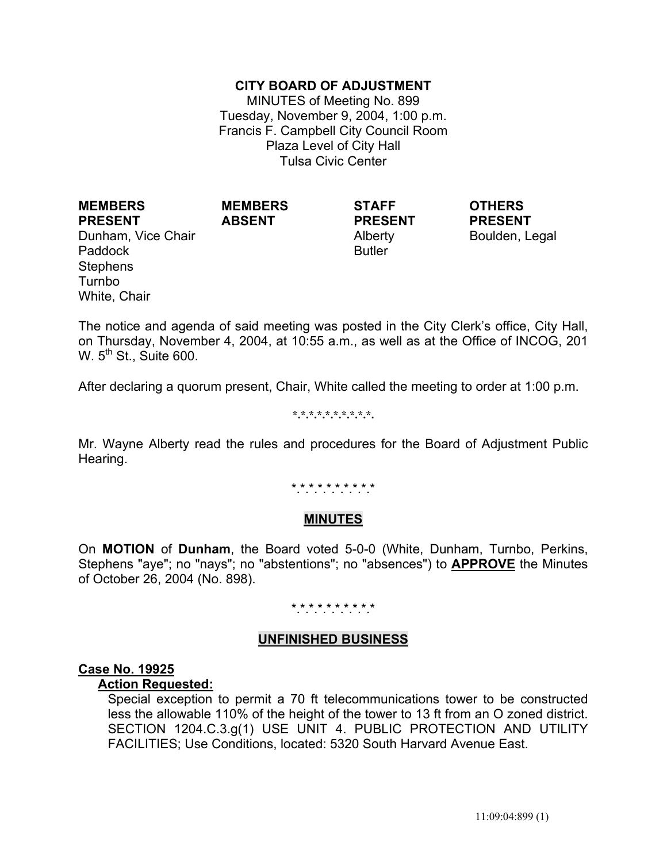## **CITY BOARD OF ADJUSTMENT**

MINUTES of Meeting No. 899 Tuesday, November 9, 2004, 1:00 p.m. Francis F. Campbell City Council Room Plaza Level of City Hall Tulsa Civic Center

**MEMBERS PRESENT** Dunham, Vice Chair **Alberty** Alberty Boulden, Legal Paddock **Butler** Butler **Stephens** Turnbo White, Chair

**MEMBERS ABSENT**

**STAFF PRESENT** **OTHERS PRESENT**

The notice and agenda of said meeting was posted in the City Clerk's office, City Hall, on Thursday, November 4, 2004, at 10:55 a.m., as well as at the Office of INCOG, 201 W.  $5<sup>th</sup>$  St., Suite 600.

After declaring a quorum present, Chair, White called the meeting to order at 1:00 p.m.

#### **\*.\*.\*.\*.\*.\*.\*.\*.\*.\*.**

Mr. Wayne Alberty read the rules and procedures for the Board of Adjustment Public Hearing.

\*.\*.\*.\*.\*.\*.\*.\*.\*.\*

#### **MINUTES**

On **MOTION** of **Dunham**, the Board voted 5-0-0 (White, Dunham, Turnbo, Perkins, Stephens "aye"; no "nays"; no "abstentions"; no "absences") to **APPROVE** the Minutes of October 26, 2004 (No. 898).

## \*.\*.\*.\*.\*.\*.\*.\*.\*.\*

## **UNFINISHED BUSINESS**

#### **Case No. 19925**

### **Action Requested:**

 Special exception to permit a 70 ft telecommunications tower to be constructed less the allowable 110% of the height of the tower to 13 ft from an O zoned district. SECTION 1204.C.3.g(1) USE UNIT 4. PUBLIC PROTECTION AND UTILITY FACILITIES; Use Conditions, located: 5320 South Harvard Avenue East.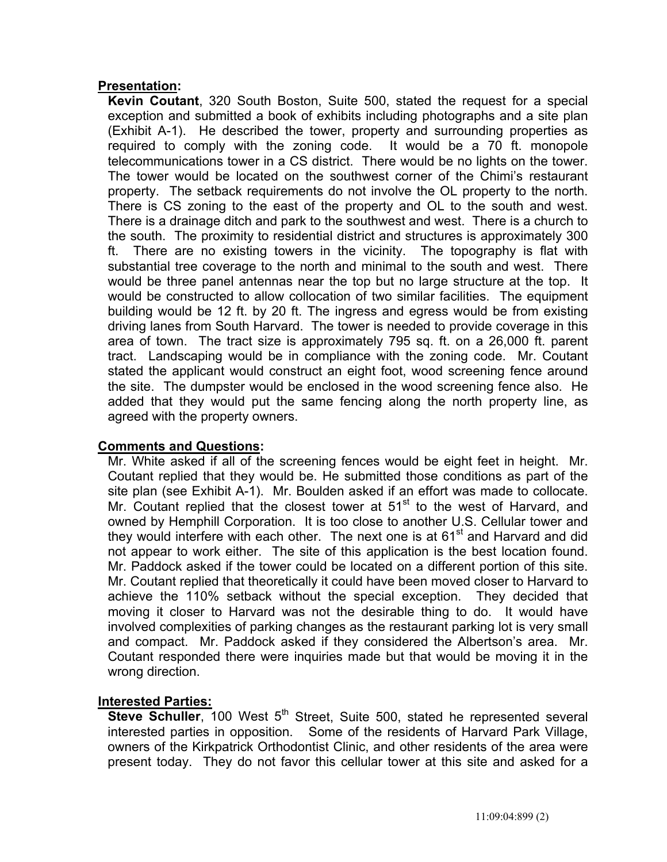## **Presentation:**

 **Kevin Coutant**, 320 South Boston, Suite 500, stated the request for a special exception and submitted a book of exhibits including photographs and a site plan (Exhibit A-1). He described the tower, property and surrounding properties as required to comply with the zoning code. It would be a 70 ft. monopole telecommunications tower in a CS district. There would be no lights on the tower. The tower would be located on the southwest corner of the Chimi's restaurant property. The setback requirements do not involve the OL property to the north. There is CS zoning to the east of the property and OL to the south and west. There is a drainage ditch and park to the southwest and west. There is a church to the south. The proximity to residential district and structures is approximately 300 ft. There are no existing towers in the vicinity. The topography is flat with substantial tree coverage to the north and minimal to the south and west. There would be three panel antennas near the top but no large structure at the top. It would be constructed to allow collocation of two similar facilities. The equipment building would be 12 ft. by 20 ft. The ingress and egress would be from existing driving lanes from South Harvard. The tower is needed to provide coverage in this area of town. The tract size is approximately 795 sq. ft. on a 26,000 ft. parent tract. Landscaping would be in compliance with the zoning code. Mr. Coutant stated the applicant would construct an eight foot, wood screening fence around the site. The dumpster would be enclosed in the wood screening fence also. He added that they would put the same fencing along the north property line, as agreed with the property owners.

## **Comments and Questions:**

 Mr. White asked if all of the screening fences would be eight feet in height. Mr. Coutant replied that they would be. He submitted those conditions as part of the site plan (see Exhibit A-1). Mr. Boulden asked if an effort was made to collocate. Mr. Coutant replied that the closest tower at  $51<sup>st</sup>$  to the west of Harvard, and owned by Hemphill Corporation. It is too close to another U.S. Cellular tower and they would interfere with each other. The next one is at  $61<sup>st</sup>$  and Harvard and did not appear to work either. The site of this application is the best location found. Mr. Paddock asked if the tower could be located on a different portion of this site. Mr. Coutant replied that theoretically it could have been moved closer to Harvard to achieve the 110% setback without the special exception. They decided that moving it closer to Harvard was not the desirable thing to do. It would have involved complexities of parking changes as the restaurant parking lot is very small and compact. Mr. Paddock asked if they considered the Albertson's area. Mr. Coutant responded there were inquiries made but that would be moving it in the wrong direction.

#### **Interested Parties:**

**Steve Schuller**, 100 West 5<sup>th</sup> Street, Suite 500, stated he represented several interested parties in opposition. Some of the residents of Harvard Park Village, owners of the Kirkpatrick Orthodontist Clinic, and other residents of the area were present today. They do not favor this cellular tower at this site and asked for a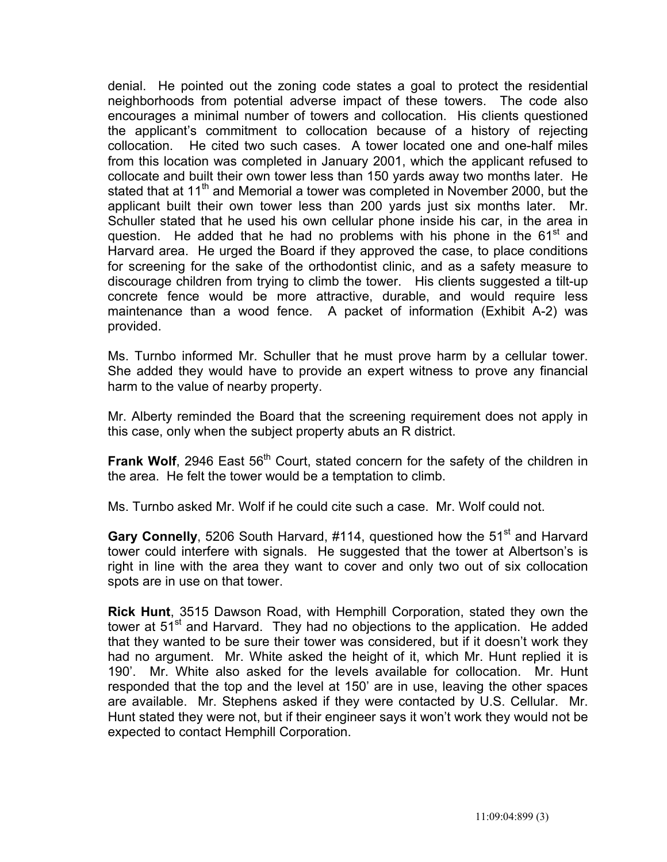denial. He pointed out the zoning code states a goal to protect the residential neighborhoods from potential adverse impact of these towers. The code also encourages a minimal number of towers and collocation. His clients questioned the applicant's commitment to collocation because of a history of rejecting collocation. He cited two such cases. A tower located one and one-half miles from this location was completed in January 2001, which the applicant refused to collocate and built their own tower less than 150 yards away two months later. He stated that at 11<sup>th</sup> and Memorial a tower was completed in November 2000, but the applicant built their own tower less than 200 yards just six months later. Mr. Schuller stated that he used his own cellular phone inside his car, in the area in question. He added that he had no problems with his phone in the  $61<sup>st</sup>$  and Harvard area. He urged the Board if they approved the case, to place conditions for screening for the sake of the orthodontist clinic, and as a safety measure to discourage children from trying to climb the tower. His clients suggested a tilt-up concrete fence would be more attractive, durable, and would require less maintenance than a wood fence. A packet of information (Exhibit A-2) was provided.

 Ms. Turnbo informed Mr. Schuller that he must prove harm by a cellular tower. She added they would have to provide an expert witness to prove any financial harm to the value of nearby property.

 Mr. Alberty reminded the Board that the screening requirement does not apply in this case, only when the subject property abuts an R district.

**Frank Wolf**, 2946 East 56<sup>th</sup> Court, stated concern for the safety of the children in the area. He felt the tower would be a temptation to climb.

Ms. Turnbo asked Mr. Wolf if he could cite such a case. Mr. Wolf could not.

Gary Connelly, 5206 South Harvard, #114, questioned how the 51<sup>st</sup> and Harvard tower could interfere with signals. He suggested that the tower at Albertson's is right in line with the area they want to cover and only two out of six collocation spots are in use on that tower.

 **Rick Hunt**, 3515 Dawson Road, with Hemphill Corporation, stated they own the tower at 51<sup>st</sup> and Harvard. They had no objections to the application. He added that they wanted to be sure their tower was considered, but if it doesn't work they had no argument. Mr. White asked the height of it, which Mr. Hunt replied it is 190'. Mr. White also asked for the levels available for collocation. Mr. Hunt responded that the top and the level at 150' are in use, leaving the other spaces are available. Mr. Stephens asked if they were contacted by U.S. Cellular. Mr. Hunt stated they were not, but if their engineer says it won't work they would not be expected to contact Hemphill Corporation.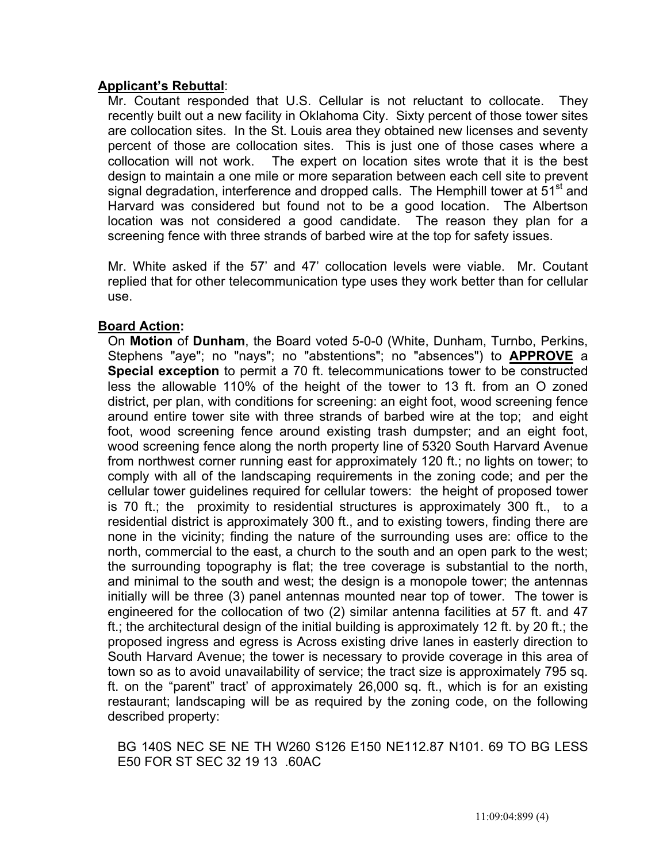## **Applicant's Rebuttal**:

 Mr. Coutant responded that U.S. Cellular is not reluctant to collocate. They recently built out a new facility in Oklahoma City. Sixty percent of those tower sites are collocation sites. In the St. Louis area they obtained new licenses and seventy percent of those are collocation sites. This is just one of those cases where a collocation will not work. The expert on location sites wrote that it is the best design to maintain a one mile or more separation between each cell site to prevent signal degradation, interference and dropped calls. The Hemphill tower at  $51<sup>st</sup>$  and Harvard was considered but found not to be a good location. The Albertson location was not considered a good candidate. The reason they plan for a screening fence with three strands of barbed wire at the top for safety issues.

 Mr. White asked if the 57' and 47' collocation levels were viable. Mr. Coutant replied that for other telecommunication type uses they work better than for cellular use.

## **Board Action:**

On **Motion** of **Dunham**, the Board voted 5-0-0 (White, Dunham, Turnbo, Perkins, Stephens "aye"; no "nays"; no "abstentions"; no "absences") to **APPROVE** a **Special exception** to permit a 70 ft. telecommunications tower to be constructed less the allowable 110% of the height of the tower to 13 ft. from an O zoned district, per plan, with conditions for screening: an eight foot, wood screening fence around entire tower site with three strands of barbed wire at the top; and eight foot, wood screening fence around existing trash dumpster; and an eight foot, wood screening fence along the north property line of 5320 South Harvard Avenue from northwest corner running east for approximately 120 ft.; no lights on tower; to comply with all of the landscaping requirements in the zoning code; and per the cellular tower guidelines required for cellular towers: the height of proposed tower is 70 ft.; the proximity to residential structures is approximately 300 ft., to a residential district is approximately 300 ft., and to existing towers, finding there are none in the vicinity; finding the nature of the surrounding uses are: office to the north, commercial to the east, a church to the south and an open park to the west; the surrounding topography is flat; the tree coverage is substantial to the north, and minimal to the south and west; the design is a monopole tower; the antennas initially will be three (3) panel antennas mounted near top of tower. The tower is engineered for the collocation of two (2) similar antenna facilities at 57 ft. and 47 ft.; the architectural design of the initial building is approximately 12 ft. by 20 ft.; the proposed ingress and egress is Across existing drive lanes in easterly direction to South Harvard Avenue; the tower is necessary to provide coverage in this area of town so as to avoid unavailability of service; the tract size is approximately 795 sq. ft. on the "parent" tract' of approximately 26,000 sq. ft., which is for an existing restaurant; landscaping will be as required by the zoning code, on the following described property:

BG 140S NEC SE NE TH W260 S126 E150 NE112.87 N101. 69 TO BG LESS E50 FOR ST SEC 32 19 13 .60AC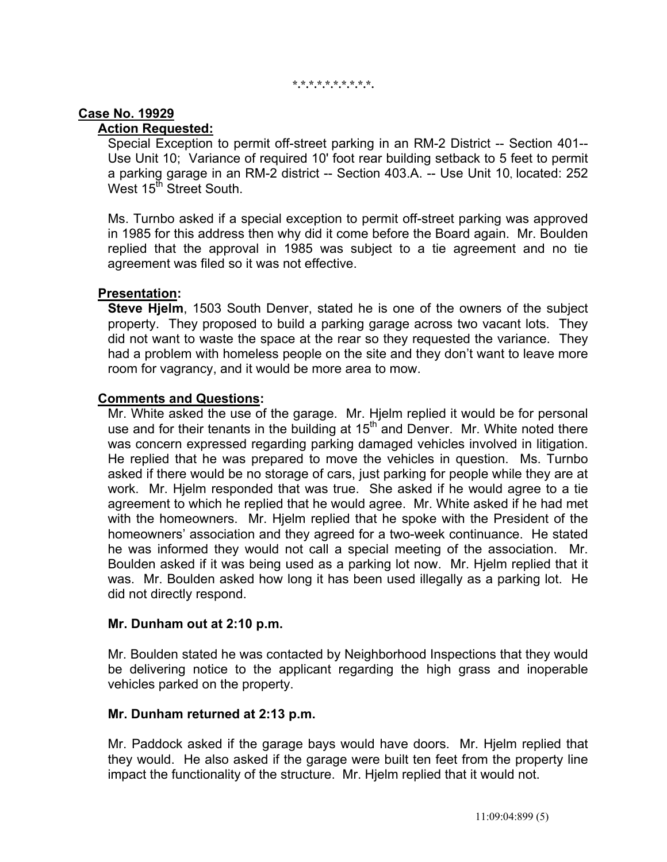#### **\*.\*.\*.\*.\*.\*.\*.\*.\*.\*.**

### **Case No. 19929**

## **Action Requested:**

 Special Exception to permit off-street parking in an RM-2 District -- Section 401-- Use Unit 10; Variance of required 10' foot rear building setback to 5 feet to permit a parking garage in an RM-2 district -- Section 403.A. -- Use Unit 10, located: 252 West  $15<sup>th</sup>$  Street South.

 Ms. Turnbo asked if a special exception to permit off-street parking was approved in 1985 for this address then why did it come before the Board again. Mr. Boulden replied that the approval in 1985 was subject to a tie agreement and no tie agreement was filed so it was not effective.

#### **Presentation:**

 **Steve Hjelm**, 1503 South Denver, stated he is one of the owners of the subject property. They proposed to build a parking garage across two vacant lots. They did not want to waste the space at the rear so they requested the variance. They had a problem with homeless people on the site and they don't want to leave more room for vagrancy, and it would be more area to mow.

#### **Comments and Questions:**

 Mr. White asked the use of the garage. Mr. Hjelm replied it would be for personal use and for their tenants in the building at  $15<sup>th</sup>$  and Denver. Mr. White noted there was concern expressed regarding parking damaged vehicles involved in litigation. He replied that he was prepared to move the vehicles in question. Ms. Turnbo asked if there would be no storage of cars, just parking for people while they are at work. Mr. Hjelm responded that was true. She asked if he would agree to a tie agreement to which he replied that he would agree. Mr. White asked if he had met with the homeowners. Mr. Hjelm replied that he spoke with the President of the homeowners' association and they agreed for a two-week continuance. He stated he was informed they would not call a special meeting of the association. Mr. Boulden asked if it was being used as a parking lot now. Mr. Hjelm replied that it was. Mr. Boulden asked how long it has been used illegally as a parking lot. He did not directly respond.

#### **Mr. Dunham out at 2:10 p.m.**

 Mr. Boulden stated he was contacted by Neighborhood Inspections that they would be delivering notice to the applicant regarding the high grass and inoperable vehicles parked on the property.

#### **Mr. Dunham returned at 2:13 p.m.**

 Mr. Paddock asked if the garage bays would have doors. Mr. Hjelm replied that they would. He also asked if the garage were built ten feet from the property line impact the functionality of the structure. Mr. Hjelm replied that it would not.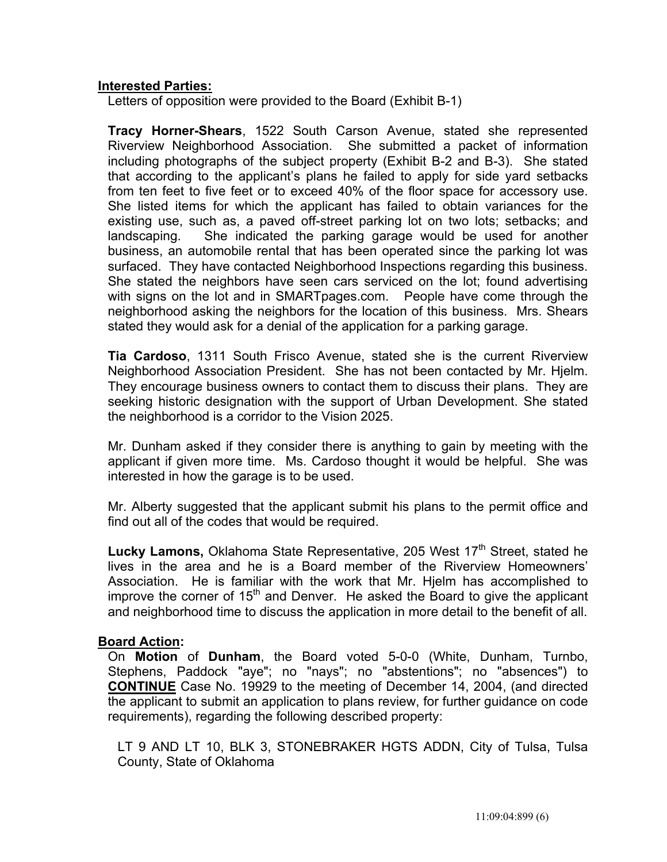## **Interested Parties:**

Letters of opposition were provided to the Board (Exhibit B-1)

 **Tracy Horner-Shears**, 1522 South Carson Avenue, stated she represented Riverview Neighborhood Association. She submitted a packet of information including photographs of the subject property (Exhibit B-2 and B-3). She stated that according to the applicant's plans he failed to apply for side yard setbacks from ten feet to five feet or to exceed 40% of the floor space for accessory use. She listed items for which the applicant has failed to obtain variances for the existing use, such as, a paved off-street parking lot on two lots; setbacks; and landscaping. She indicated the parking garage would be used for another business, an automobile rental that has been operated since the parking lot was surfaced. They have contacted Neighborhood Inspections regarding this business. She stated the neighbors have seen cars serviced on the lot; found advertising with signs on the lot and in SMARTpages.com. People have come through the neighborhood asking the neighbors for the location of this business. Mrs. Shears stated they would ask for a denial of the application for a parking garage.

 **Tia Cardoso**, 1311 South Frisco Avenue, stated she is the current Riverview Neighborhood Association President. She has not been contacted by Mr. Hjelm. They encourage business owners to contact them to discuss their plans. They are seeking historic designation with the support of Urban Development. She stated the neighborhood is a corridor to the Vision 2025.

 Mr. Dunham asked if they consider there is anything to gain by meeting with the applicant if given more time. Ms. Cardoso thought it would be helpful. She was interested in how the garage is to be used.

 Mr. Alberty suggested that the applicant submit his plans to the permit office and find out all of the codes that would be required.

Lucky Lamons, Oklahoma State Representative, 205 West 17<sup>th</sup> Street, stated he lives in the area and he is a Board member of the Riverview Homeowners' Association. He is familiar with the work that Mr. Hjelm has accomplished to improve the corner of  $15<sup>th</sup>$  and Denver. He asked the Board to give the applicant and neighborhood time to discuss the application in more detail to the benefit of all.

#### **Board Action:**

On **Motion** of **Dunham**, the Board voted 5-0-0 (White, Dunham, Turnbo, Stephens, Paddock "aye"; no "nays"; no "abstentions"; no "absences") to **CONTINUE** Case No. 19929 to the meeting of December 14, 2004, (and directed the applicant to submit an application to plans review, for further guidance on code requirements), regarding the following described property:

 LT 9 AND LT 10, BLK 3, STONEBRAKER HGTS ADDN, City of Tulsa, Tulsa County, State of Oklahoma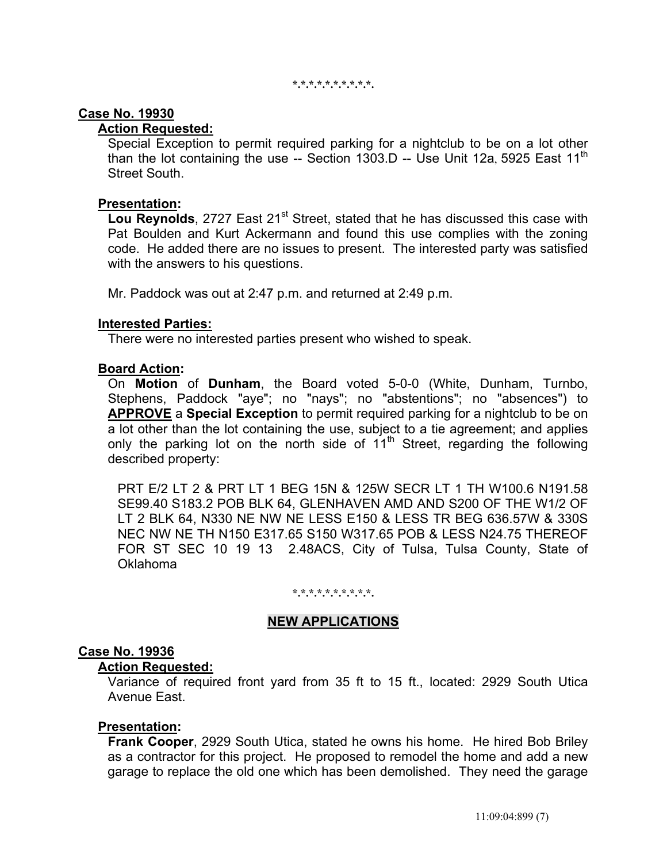**\*.\*.\*.\*.\*.\*.\*.\*.\*.\*.** 

#### **Case No. 19930**

# **Action Requested:**

 Special Exception to permit required parking for a nightclub to be on a lot other than the lot containing the use  $-$  Section 1303.D  $-$  Use Unit 12a, 5925 East 11<sup>th</sup> Street South.

## **Presentation:**

**Lou Reynolds**, 2727 East 21<sup>st</sup> Street, stated that he has discussed this case with Pat Boulden and Kurt Ackermann and found this use complies with the zoning code. He added there are no issues to present. The interested party was satisfied with the answers to his questions.

Mr. Paddock was out at 2:47 p.m. and returned at 2:49 p.m.

## **Interested Parties:**

There were no interested parties present who wished to speak.

## **Board Action:**

On **Motion** of **Dunham**, the Board voted 5-0-0 (White, Dunham, Turnbo, Stephens, Paddock "aye"; no "nays"; no "abstentions"; no "absences") to **APPROVE** a **Special Exception** to permit required parking for a nightclub to be on a lot other than the lot containing the use, subject to a tie agreement; and applies only the parking lot on the north side of  $11<sup>th</sup>$  Street, regarding the following described property:

PRT E/2 LT 2 & PRT LT 1 BEG 15N & 125W SECR LT 1 TH W100.6 N191.58 SE99.40 S183.2 POB BLK 64, GLENHAVEN AMD AND S200 OF THE W1/2 OF LT 2 BLK 64, N330 NE NW NE LESS E150 & LESS TR BEG 636.57W & 330S NEC NW NE TH N150 E317.65 S150 W317.65 POB & LESS N24.75 THEREOF FOR ST SEC 10 19 13 2.48ACS, City of Tulsa, Tulsa County, State of Oklahoma

#### **\*.\*.\*.\*.\*.\*.\*.\*.\*.\*.**

## **NEW APPLICATIONS**

## **Case No. 19936**

#### **Action Requested:**

 Variance of required front yard from 35 ft to 15 ft., located: 2929 South Utica Avenue East.

## **Presentation:**

 **Frank Cooper**, 2929 South Utica, stated he owns his home. He hired Bob Briley as a contractor for this project. He proposed to remodel the home and add a new garage to replace the old one which has been demolished. They need the garage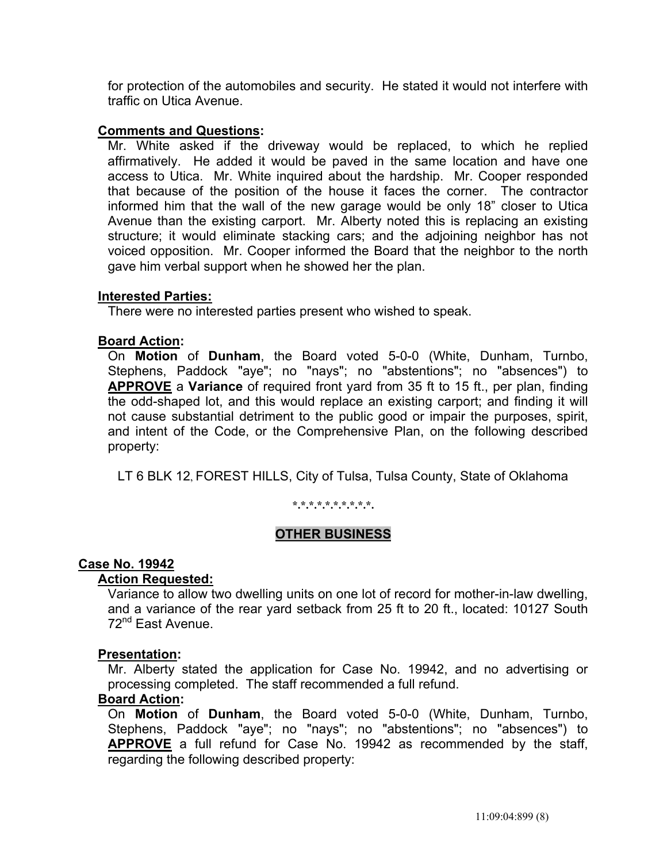for protection of the automobiles and security. He stated it would not interfere with traffic on Utica Avenue.

### **Comments and Questions:**

 Mr. White asked if the driveway would be replaced, to which he replied affirmatively. He added it would be paved in the same location and have one access to Utica. Mr. White inquired about the hardship. Mr. Cooper responded that because of the position of the house it faces the corner. The contractor informed him that the wall of the new garage would be only 18" closer to Utica Avenue than the existing carport. Mr. Alberty noted this is replacing an existing structure; it would eliminate stacking cars; and the adjoining neighbor has not voiced opposition. Mr. Cooper informed the Board that the neighbor to the north gave him verbal support when he showed her the plan.

## **Interested Parties:**

There were no interested parties present who wished to speak.

## **Board Action:**

On **Motion** of **Dunham**, the Board voted 5-0-0 (White, Dunham, Turnbo, Stephens, Paddock "aye"; no "nays"; no "abstentions"; no "absences") to **APPROVE** a **Variance** of required front yard from 35 ft to 15 ft., per plan, finding the odd-shaped lot, and this would replace an existing carport; and finding it will not cause substantial detriment to the public good or impair the purposes, spirit, and intent of the Code, or the Comprehensive Plan, on the following described property:

LT 6 BLK 12, FOREST HILLS, City of Tulsa, Tulsa County, State of Oklahoma

#### **\*.\*.\*.\*.\*.\*.\*.\*.\*.\*.**

## **OTHER BUSINESS**

#### **Case No. 19942**

#### **Action Requested:**

 Variance to allow two dwelling units on one lot of record for mother-in-law dwelling, and a variance of the rear yard setback from 25 ft to 20 ft., located: 10127 South 72nd East Avenue.

#### **Presentation:**

 Mr. Alberty stated the application for Case No. 19942, and no advertising or processing completed. The staff recommended a full refund.

### **Board Action:**

 On **Motion** of **Dunham**, the Board voted 5-0-0 (White, Dunham, Turnbo, Stephens, Paddock "aye"; no "nays"; no "abstentions"; no "absences") to **APPROVE** a full refund for Case No. 19942 as recommended by the staff, regarding the following described property: